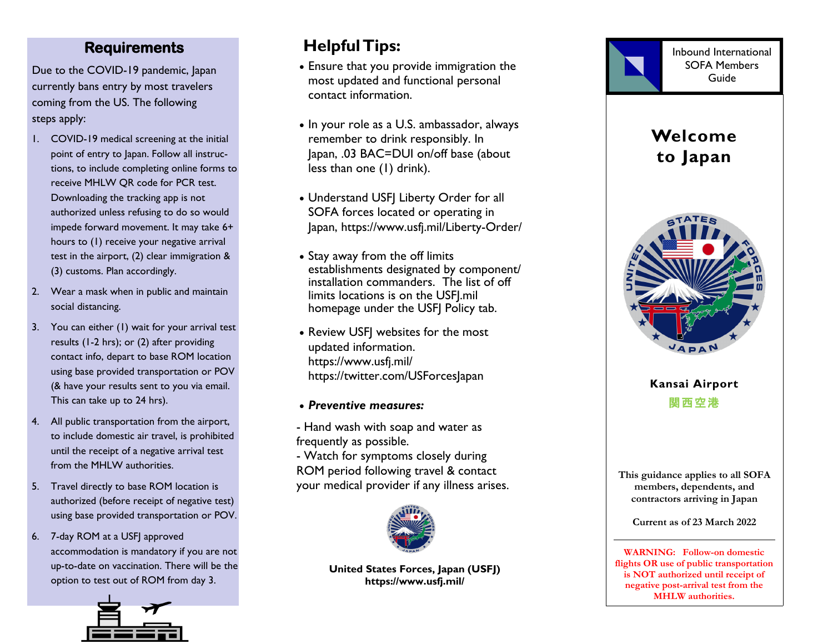#### **Requirements**

Due to the COVID-19 pandemic, Japan currently bans entry by most travelers coming from the US. The following steps apply:

- 1. COVID-19 medical screening at the initial point of entry to Japan. Follow all instructions, to include completing online forms to receive MHLW QR code for PCR test. Downloading the tracking app is not authorized unless refusing to do so would impede forward movement. It may take 6+ hours to (1) receive your negative arrival test in the airport, (2) clear immigration & (3) customs. Plan accordingly.
- 2. Wear a mask when in public and maintain social distancing.
- 3. You can either (1) wait for your arrival test results (1-2 hrs); or (2) after providing contact info, depart to base ROM location using base provided transportation or POV (& have your results sent to you via email. This can take up to 24 hrs).
- 4. All public transportation from the airport, to include domestic air travel, is prohibited until the receipt of a negative arrival test from the MHLW authorities .
- 5. Travel directly to base ROM location is authorized (before receipt of negative test) using base provided transportation or POV.
- 6. 7-day ROM at a USFJ approved accommodation is mandatory if you are not up-to-date on vaccination. There will be the option to test out of ROM from day 3.



## **Helpful Tips:**

- Ensure that you provide immigration the most updated and functional personal contact information.
- In your role as a U.S. ambassador, always remember to drink responsibly. In Japan, .03 BAC=DUI on/off base (about less than one (1) drink).
- Understand USFJ Liberty Order for all SOFA forces located or operating in Japan, https://www.usfj.mil/Liberty-Order/
- Stay away from the off limits establishments designated by component/ installation commanders. The list of off limits locations is on the USFJ.mil homepage under the USFI Policy tab.
- Review USFJ websites for the most updated information. https://www.usfj.mil/ https://twitter.com/USForcesJapan
- *Preventive measures:*
- Hand wash with soap and water as frequently as possible.
- Watch for symptoms closely during ROM period following travel & contact your medical provider if any illness arises.



**United States Forces , Japan (USFJ) https://www.usfj.mil/**